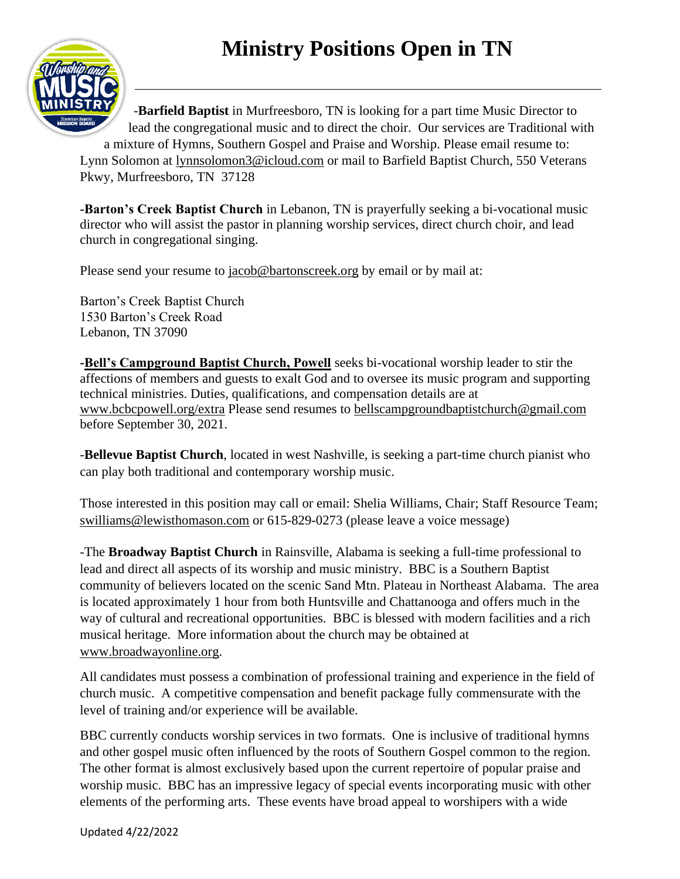# **Ministry Positions Open in TN**



-**Barfield Baptist** in Murfreesboro, TN is looking for a part time Music Director to lead the congregational music and to direct the choir. Our services are Traditional with

a mixture of Hymns, Southern Gospel and Praise and Worship. Please email resume to: Lynn Solomon at [lynnsolomon3@icloud.com](mailto:lynnsolomon3@icloud.com) or mail to Barfield Baptist Church, 550 Veterans Pkwy, Murfreesboro, TN 37128

**-Barton's Creek Baptist Church** in Lebanon, TN is prayerfully seeking a bi-vocational music director who will assist the pastor in planning worship services, direct church choir, and lead church in congregational singing.

Please send your resume to [jacob@bartonscreek.org](mailto:jacob@bartonscreek.org) by email or by mail at:

Barton's Creek Baptist Church 1530 Barton's Creek Road Lebanon, TN 37090

**-Bell's Campground Baptist Church, Powell** seeks bi-vocational worship leader to stir the affections of members and guests to exalt God and to oversee its music program and supporting technical ministries. Duties, qualifications, and compensation details are at [www.bcbcpowell.org/extra](http://www.bcbcpowell.org/extra) Please send resumes to [bellscampgroundbaptistchurch@gmail.com](mailto:bellscampgroundbaptistchurch@gmail.com) before September 30, 2021.

-**Bellevue Baptist Church**, located in west Nashville, is seeking a part-time church pianist who can play both traditional and contemporary worship music.

Those interested in this position may call or email: Shelia Williams, Chair; Staff Resource Team; [swilliams@lewisthomason.com](mailto:swilliams@lewisthomason.com) or 615-829-0273 (please leave a voice message)

-The **Broadway Baptist Church** in Rainsville, Alabama is seeking a full-time professional to lead and direct all aspects of its worship and music ministry. BBC is a Southern Baptist community of believers located on the scenic Sand Mtn. Plateau in Northeast Alabama. The area is located approximately 1 hour from both Huntsville and Chattanooga and offers much in the way of cultural and recreational opportunities. BBC is blessed with modern facilities and a rich musical heritage. More information about the church may be obtained at [www.broadwayonline.org.](http://www.broadwayonline.org/)

All candidates must possess a combination of professional training and experience in the field of church music. A competitive compensation and benefit package fully commensurate with the level of training and/or experience will be available.

BBC currently conducts worship services in two formats. One is inclusive of traditional hymns and other gospel music often influenced by the roots of Southern Gospel common to the region. The other format is almost exclusively based upon the current repertoire of popular praise and worship music. BBC has an impressive legacy of special events incorporating music with other elements of the performing arts. These events have broad appeal to worshipers with a wide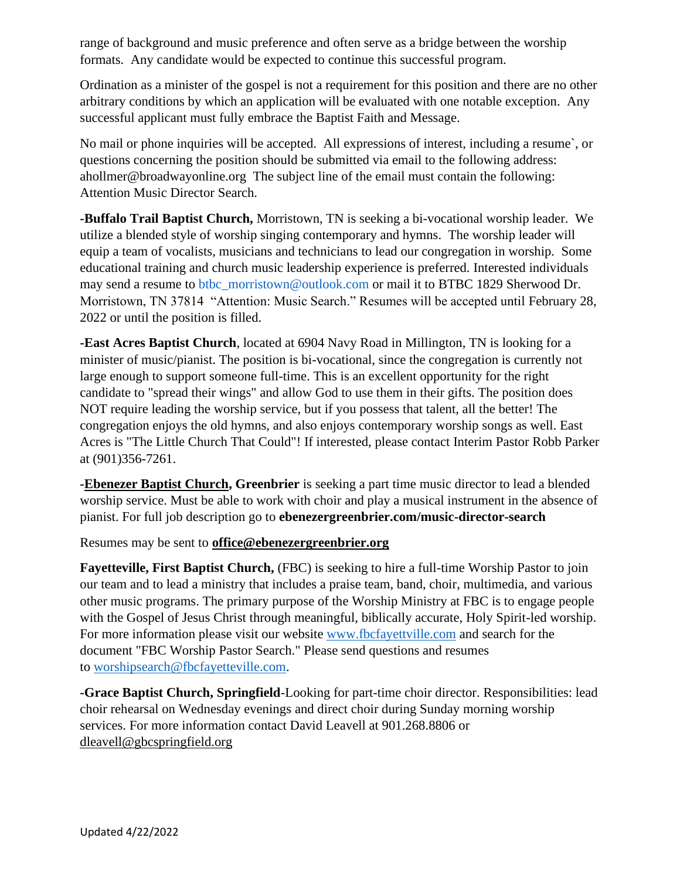range of background and music preference and often serve as a bridge between the worship formats. Any candidate would be expected to continue this successful program.

Ordination as a minister of the gospel is not a requirement for this position and there are no other arbitrary conditions by which an application will be evaluated with one notable exception. Any successful applicant must fully embrace the Baptist Faith and Message.

No mail or phone inquiries will be accepted. All expressions of interest, including a resume`, or questions concerning the position should be submitted via email to the following address: ahollmer@broadwayonline.org The subject line of the email must contain the following: Attention Music Director Search.

**-Buffalo Trail Baptist Church,** Morristown, TN is seeking a bi-vocational worship leader. We utilize a blended style of worship singing contemporary and hymns. The worship leader will equip a team of vocalists, musicians and technicians to lead our congregation in worship. Some educational training and church music leadership experience is preferred. Interested individuals may send a resume to [btbc\\_morristown@outlook.com](mailto:btbc_morristown@outlook.com) or mail it to BTBC 1829 Sherwood Dr. Morristown, TN 37814 "Attention: Music Search." Resumes will be accepted until February 28, 2022 or until the position is filled.

**-East Acres Baptist Church**, located at 6904 Navy Road in Millington, TN is looking for a minister of music/pianist. The position is bi-vocational, since the congregation is currently not large enough to support someone full-time. This is an excellent opportunity for the right candidate to "spread their wings" and allow God to use them in their gifts. The position does NOT require leading the worship service, but if you possess that talent, all the better! The congregation enjoys the old hymns, and also enjoys contemporary worship songs as well. East Acres is "The Little Church That Could"! If interested, please contact Interim Pastor Robb Parker at (901)356-7261.

**-Ebenezer Baptist Church, Greenbrier** is seeking a part time music director to lead a blended worship service. Must be able to work with choir and play a musical instrument in the absence of pianist. For full job description go to **ebenezergreenbrier.com/music-director-search**

Resumes may be sent to **[office@ebenezergreenbrier.org](mailto:office@ebenezergreenbrier.org)**

**Fayetteville, First Baptist Church,** (FBC) is seeking to hire a full-time Worship Pastor to join our team and to lead a ministry that includes a praise team, band, choir, multimedia, and various other music programs. The primary purpose of the Worship Ministry at FBC is to engage people with the Gospel of Jesus Christ through meaningful, biblically accurate, Holy Spirit-led worship. For more information please visit our website [www.fbcfayettville.com](https://linkprotect.cudasvc.com/url?a=http%3a%2f%2fwww.fbcfayettville.com&c=E,1,Uk7MpzMm-LYryHGUbatC5S0NR8P5FOwk7UzGFi56Vc29dYpRTtLv0LMByKt2esSZxnwcYKc9PZpf-WzltmYESPeABlCnKKIopoiHuRK-GYCtQb4,&typo=1) and search for the document "FBC Worship Pastor Search." Please send questions and resumes to [worshipsearch@fbcfayetteville.com.](mailto:worshipsearch@fbcfayetteville.com)

**-Grace Baptist Church, Springfield**-Looking for part-time choir director. Responsibilities: lead choir rehearsal on Wednesday evenings and direct choir during Sunday morning worship services. For more information contact David Leavell at 901.268.8806 or [dleavell@gbcspringfield.org](mailto:dleavell@gbcspringfield.org)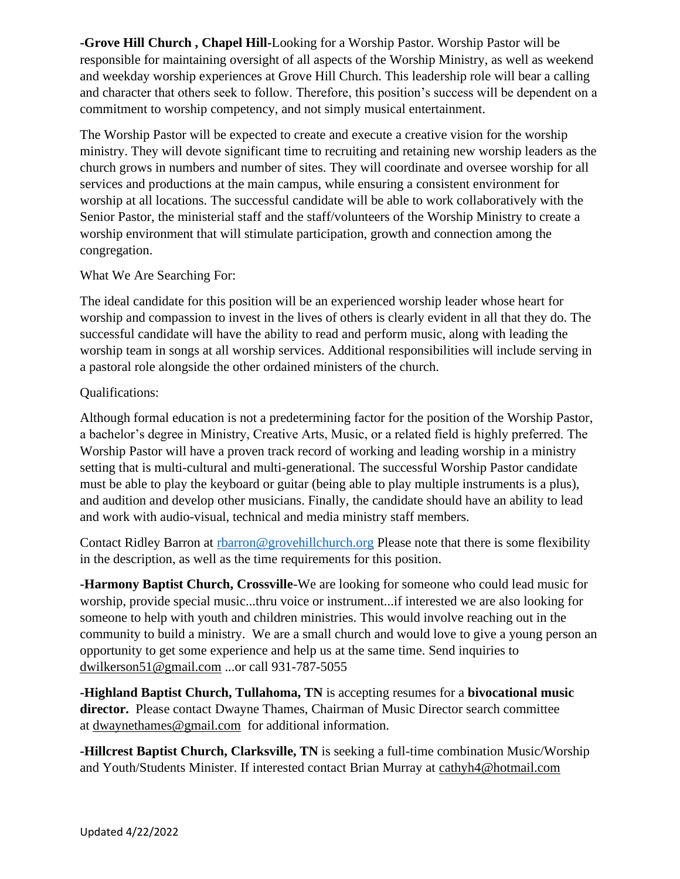**-Grove Hill Church , Chapel Hill-**Looking for a Worship Pastor. Worship Pastor will be responsible for maintaining oversight of all aspects of the Worship Ministry, as well as weekend and weekday worship experiences at Grove Hill Church. This leadership role will bear a calling and character that others seek to follow. Therefore, this position's success will be dependent on a commitment to worship competency, and not simply musical entertainment.

The Worship Pastor will be expected to create and execute a creative vision for the worship ministry. They will devote significant time to recruiting and retaining new worship leaders as the church grows in numbers and number of sites. They will coordinate and oversee worship for all services and productions at the main campus, while ensuring a consistent environment for worship at all locations. The successful candidate will be able to work collaboratively with the Senior Pastor, the ministerial staff and the staff/volunteers of the Worship Ministry to create a worship environment that will stimulate participation, growth and connection among the congregation.

#### What We Are Searching For:

The ideal candidate for this position will be an experienced worship leader whose heart for worship and compassion to invest in the lives of others is clearly evident in all that they do. The successful candidate will have the ability to read and perform music, along with leading the worship team in songs at all worship services. Additional responsibilities will include serving in a pastoral role alongside the other ordained ministers of the church.

#### Qualifications:

Although formal education is not a predetermining factor for the position of the Worship Pastor, a bachelor's degree in Ministry, Creative Arts, Music, or a related field is highly preferred. The Worship Pastor will have a proven track record of working and leading worship in a ministry setting that is multi-cultural and multi-generational. The successful Worship Pastor candidate must be able to play the keyboard or guitar (being able to play multiple instruments is a plus), and audition and develop other musicians. Finally, the candidate should have an ability to lead and work with audio-visual, technical and media ministry staff members.

Contact Ridley Barron at rharron@grovehillchurch.org Please note that there is some flexibility in the description, as well as the time requirements for this position.

**-Harmony Baptist Church, Crossville**-We are looking for someone who could lead music for worship, provide special music...thru voice or instrument...if interested we are also looking for someone to help with youth and children ministries. This would involve reaching out in the community to build a ministry. We are a small church and would love to give a young person an opportunity to get some experience and help us at the same time. Send inquiries to [dwilkerson51@gmail.com](mailto:dwilkerson51@gmail.com) ...or call 931-787-5055

**-Highland Baptist Church, Tullahoma, TN** is accepting resumes for a **bivocational music director.** Please contact Dwayne Thames, Chairman of Music Director search committee at [dwaynethames@gmail.com](mailto:dwaynethames@gmail.com) for additional information.

**-Hillcrest Baptist Church, Clarksville, TN** is seeking a full-time combination Music/Worship and Youth/Students Minister. If interested contact Brian Murray at [cathyh4@hotmail.com](mailto:cathyh4@hotmail.com)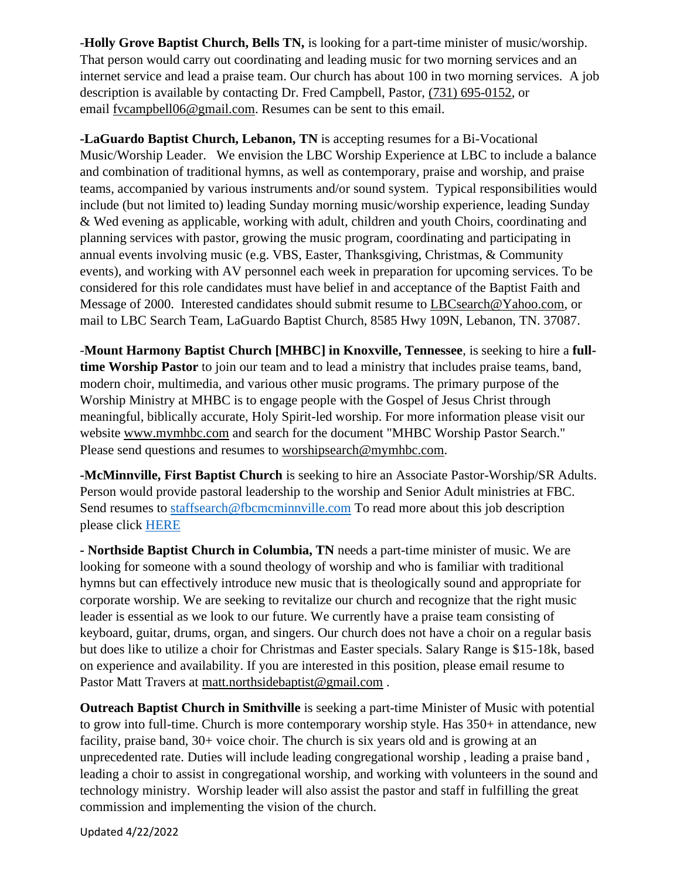-**Holly Grove Baptist Church, Bells TN,** is looking for a part-time minister of music/worship. That person would carry out coordinating and leading music for two morning services and an internet service and lead a praise team. Our church has about 100 in two morning services. A job description is available by contacting Dr. Fred Campbell, Pastor, [\(731\) 695-0152,](tel:(731)%20695-0152) or email [fvcampbell06@gmail.com.](mailto:fvcampbell06@gmail.com) Resumes can be sent to this email.

**-LaGuardo Baptist Church, Lebanon, TN** is accepting resumes for a Bi-Vocational Music/Worship Leader. We envision the LBC Worship Experience at LBC to include a balance and combination of traditional hymns, as well as contemporary, praise and worship, and praise teams, accompanied by various instruments and/or sound system. Typical responsibilities would include (but not limited to) leading Sunday morning music/worship experience, leading Sunday & Wed evening as applicable, working with adult, children and youth Choirs, coordinating and planning services with pastor, growing the music program, coordinating and participating in annual events involving music (e.g. VBS, Easter, Thanksgiving, Christmas, & Community events), and working with AV personnel each week in preparation for upcoming services. To be considered for this role candidates must have belief in and acceptance of the Baptist Faith and Message of 2000. Interested candidates should submit resume to [LBCsearch@Yahoo.com,](mailto:LBCsearch@Yahoo.com) or mail to LBC Search Team, LaGuardo Baptist Church, 8585 Hwy 109N, Lebanon, TN. 37087.

-**Mount Harmony Baptist Church [MHBC] in Knoxville, Tennessee**, is seeking to hire a **fulltime Worship Pastor** to join our team and to lead a ministry that includes praise teams, band, modern choir, multimedia, and various other music programs. The primary purpose of the Worship Ministry at MHBC is to engage people with the Gospel of Jesus Christ through meaningful, biblically accurate, Holy Spirit-led worship. For more information please visit our website [www.mymhbc.com](http://www.mymhbc.com/) and search for the document "MHBC Worship Pastor Search." Please send questions and resumes to [worshipsearch@mymhbc.com.](mailto:worshipsearch@mymhbc.com)

**-McMinnville, First Baptist Church** is seeking to hire an Associate Pastor-Worship/SR Adults. Person would provide pastoral leadership to the worship and Senior Adult ministries at FBC. Send resumes to [staffsearch@fbcmcminnville.com](mailto:staffsearch@fbcmcminnville.com) To read more about this job description please click [HERE](https://tnbaptist.box.com/s/64r7ocuqqoef5zokcvjzz3k1p9gw4dpk)

**- Northside Baptist Church in Columbia, TN** needs a part-time minister of music. We are looking for someone with a sound theology of worship and who is familiar with traditional hymns but can effectively introduce new music that is theologically sound and appropriate for corporate worship. We are seeking to revitalize our church and recognize that the right music leader is essential as we look to our future. We currently have a praise team consisting of keyboard, guitar, drums, organ, and singers. Our church does not have a choir on a regular basis but does like to utilize a choir for Christmas and Easter specials. Salary Range is \$15-18k, based on experience and availability. If you are interested in this position, please email resume to Pastor Matt Travers at [matt.northsidebaptist@gmail.com](mailto:matt.northsidebaptist@gmail.com).

**Outreach Baptist Church in Smithville** is seeking a part-time Minister of Music with potential to grow into full-time. Church is more contemporary worship style. Has 350+ in attendance, new facility, praise band, 30+ voice choir. The church is six years old and is growing at an unprecedented rate. Duties will include leading congregational worship , leading a praise band , leading a choir to assist in congregational worship, and working with volunteers in the sound and technology ministry. Worship leader will also assist the pastor and staff in fulfilling the great commission and implementing the vision of the church.

Updated 4/22/2022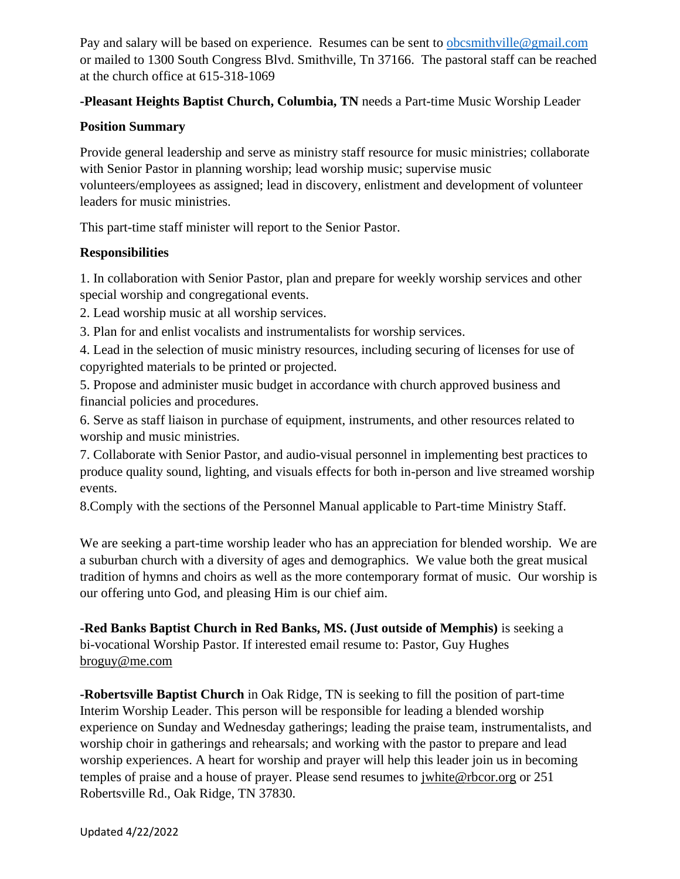Pay and salary will be based on experience. Resumes can be sent to [obcsmithville@gmail.com](mailto:obcsmithville@gmail.com) or mailed to 1300 South Congress Blvd. Smithville, Tn 37166. The pastoral staff can be reached at the church office at 615-318-1069

# **-Pleasant Heights Baptist Church, Columbia, TN** needs a Part-time Music Worship Leader

#### **Position Summary**

Provide general leadership and serve as ministry staff resource for music ministries; collaborate with Senior Pastor in planning worship; lead worship music; supervise music volunteers/employees as assigned; lead in discovery, enlistment and development of volunteer leaders for music ministries.

This part-time staff minister will report to the Senior Pastor.

# **Responsibilities**

1. In collaboration with Senior Pastor, plan and prepare for weekly worship services and other special worship and congregational events.

2. Lead worship music at all worship services.

3. Plan for and enlist vocalists and instrumentalists for worship services.

4. Lead in the selection of music ministry resources, including securing of licenses for use of copyrighted materials to be printed or projected.

5. Propose and administer music budget in accordance with church approved business and financial policies and procedures.

6. Serve as staff liaison in purchase of equipment, instruments, and other resources related to worship and music ministries.

7. Collaborate with Senior Pastor, and audio-visual personnel in implementing best practices to produce quality sound, lighting, and visuals effects for both in-person and live streamed worship events.

8.Comply with the sections of the Personnel Manual applicable to Part-time Ministry Staff.

We are seeking a part-time worship leader who has an appreciation for blended worship. We are a suburban church with a diversity of ages and demographics. We value both the great musical tradition of hymns and choirs as well as the more contemporary format of music. Our worship is our offering unto God, and pleasing Him is our chief aim.

**-Red Banks Baptist Church in Red Banks, MS. (Just outside of Memphis)** is seeking a bi-vocational Worship Pastor. If interested email resume to: Pastor, Guy Hughes [broguy@me.com](mailto:broguy@me.com)

**-Robertsville Baptist Church** in Oak Ridge, TN is seeking to fill the position of part-time Interim Worship Leader. This person will be responsible for leading a blended worship experience on Sunday and Wednesday gatherings; leading the praise team, instrumentalists, and worship choir in gatherings and rehearsals; and working with the pastor to prepare and lead worship experiences. A heart for worship and prayer will help this leader join us in becoming temples of praise and a house of prayer. Please send resumes to [jwhite@rbcor.org](mailto:jwhite@rbcor.org) or 251 Robertsville Rd., Oak Ridge, TN 37830.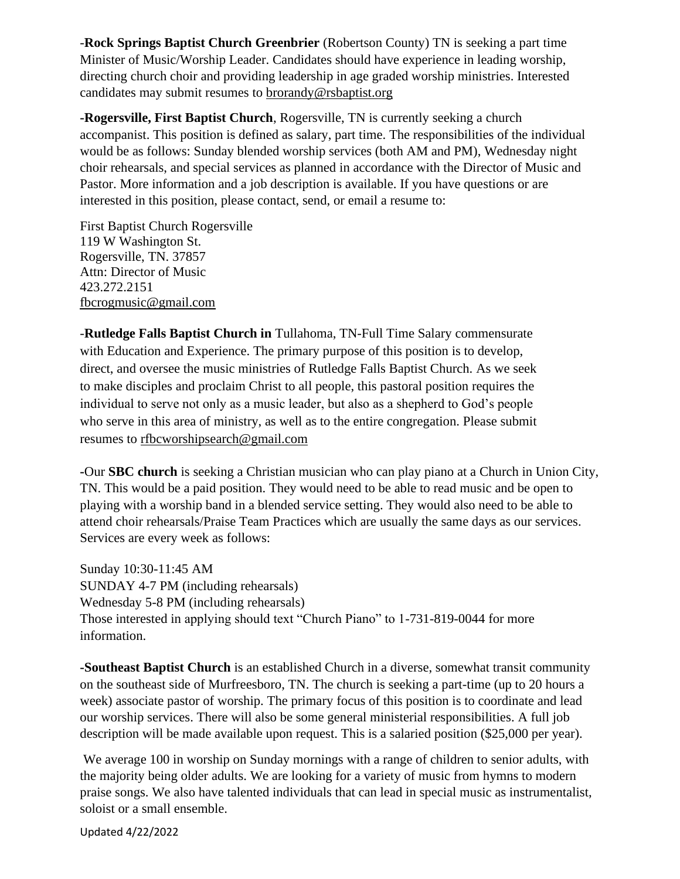-**Rock Springs Baptist Church Greenbrier** (Robertson County) TN is seeking a part time Minister of Music/Worship Leader. Candidates should have experience in leading worship, directing church choir and providing leadership in age graded worship ministries. Interested candidates may submit resumes to [brorandy@rsbaptist.org](mailto:brorandy@rsbaptist.org)

**-Rogersville, First Baptist Church**, Rogersville, TN is currently seeking a church accompanist. This position is defined as salary, part time. The responsibilities of the individual would be as follows: Sunday blended worship services (both AM and PM), Wednesday night choir rehearsals, and special services as planned in accordance with the Director of Music and Pastor. More information and a job description is available. If you have questions or are interested in this position, please contact, send, or email a resume to:

First Baptist Church Rogersville 119 W Washington St. Rogersville, TN. 37857 Attn: Director of Music 423.272.2151 [fbcrogmusic@gmail.com](mailto:fbcrogmusic@gmail.com)

-**Rutledge Falls Baptist Church in** Tullahoma, TN-Full Time Salary commensurate with Education and Experience. The primary purpose of this position is to develop, direct, and oversee the music ministries of Rutledge Falls Baptist Church. As we seek to make disciples and proclaim Christ to all people, this pastoral position requires the individual to serve not only as a music leader, but also as a shepherd to God's people who serve in this area of ministry, as well as to the entire congregation. Please submit resumes to [rfbcworshipsearch@gmail.com](mailto:rfbcworshipsearch@gmail.com)

**-**Our **SBC church** is seeking a Christian musician who can play piano at a Church in Union City, TN. This would be a paid position. They would need to be able to read music and be open to playing with a worship band in a blended service setting. They would also need to be able to attend choir rehearsals/Praise Team Practices which are usually the same days as our services. Services are every week as follows:

Sunday 10:30-11:45 AM SUNDAY 4-7 PM (including rehearsals) Wednesday 5-8 PM (including rehearsals) Those interested in applying should text "Church Piano" to 1-731-819-0044 for more information.

**-Southeast Baptist Church** is an established Church in a diverse, somewhat transit community on the southeast side of Murfreesboro, TN. The church is seeking a part-time (up to 20 hours a week) associate pastor of worship. The primary focus of this position is to coordinate and lead our worship services. There will also be some general ministerial responsibilities. A full job description will be made available upon request. This is a salaried position (\$25,000 per year).

We average 100 in worship on Sunday mornings with a range of children to senior adults, with the majority being older adults. We are looking for a variety of music from hymns to modern praise songs. We also have talented individuals that can lead in special music as instrumentalist, soloist or a small ensemble.

Updated 4/22/2022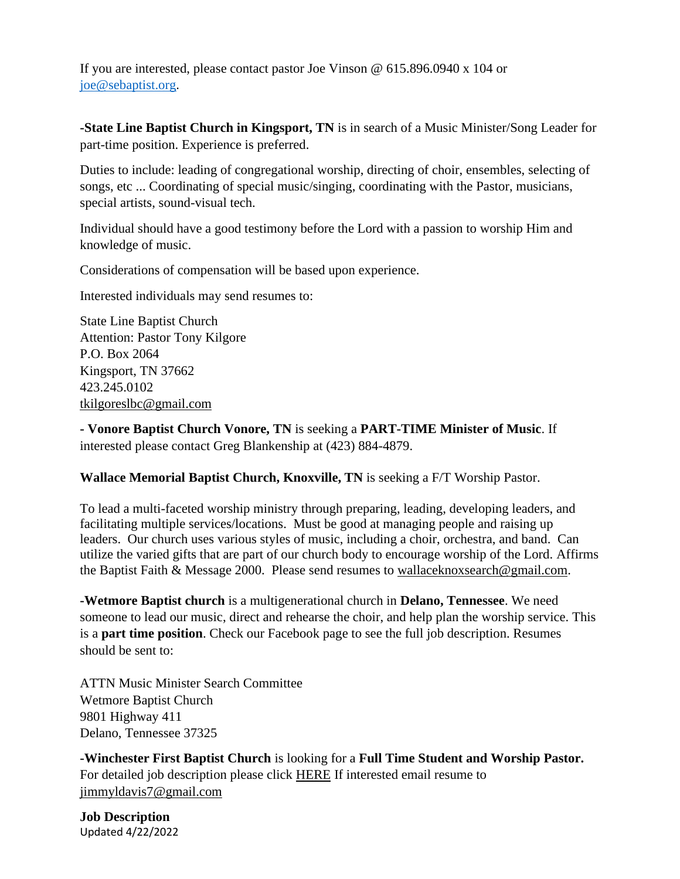If you are interested, please contact pastor Joe Vinson @ 615.896.0940 x 104 or [joe@sebaptist.org](mailto:joe@sebaptist.org).

**-State Line Baptist Church in Kingsport, TN** is in search of a Music Minister/Song Leader for part-time position. Experience is preferred.

Duties to include: leading of congregational worship, directing of choir, ensembles, selecting of songs, etc ... Coordinating of special music/singing, coordinating with the Pastor, musicians, special artists, sound-visual tech.

Individual should have a good testimony before the Lord with a passion to worship Him and knowledge of music.

Considerations of compensation will be based upon experience.

Interested individuals may send resumes to:

State Line Baptist Church Attention: Pastor Tony Kilgore P.O. Box 2064 Kingsport, TN 37662 423.245.0102 [tkilgoreslbc@gmail.com](mailto:tkilgoreslbc@gmail.com)

**- Vonore Baptist Church Vonore, TN** is seeking a **PART-TIME Minister of Music**. If interested please contact Greg Blankenship at (423) 884-4879.

# **Wallace Memorial Baptist Church, Knoxville, TN** is seeking a F/T Worship Pastor.

To lead a multi-faceted worship ministry through preparing, leading, developing leaders, and facilitating multiple services/locations. Must be good at managing people and raising up leaders. Our church uses various styles of music, including a choir, orchestra, and band. Can utilize the varied gifts that are part of our church body to encourage worship of the Lord. Affirms the Baptist Faith & Message 2000. Please send resumes to [wallaceknoxsearch@gmail.com.](mailto:wallaceknoxsearch@gmail.com)

**-Wetmore Baptist church** is a multigenerational church in **Delano, Tennessee**. We need someone to lead our music, direct and rehearse the choir, and help plan the worship service. This is a **part time position**. Check our Facebook page to see the full job description. Resumes should be sent to:

ATTN Music Minister Search Committee Wetmore Baptist Church 9801 Highway 411 Delano, Tennessee 37325

**-Winchester First Baptist Church** is looking for a **Full Time Student and Worship Pastor.**  For detailed job description please click [HERE](https://tnbaptist-my.sharepoint.com/:b:/r/personal/hbeard_tnbaptist_org/Documents/WINWORD/Worship%20and%20Music%20files/Pastor%20of%20Student%20%26%20Music%20job%20description%20Winchester%20First%20Baptist%20Church.pdf?csf=1&web=1&e=uhIH7S) If interested email resume to [jimmyldavis7@gmail.com](mailto:jimmyldavis7@gmail.com)

Updated 4/22/2022 **Job Description**